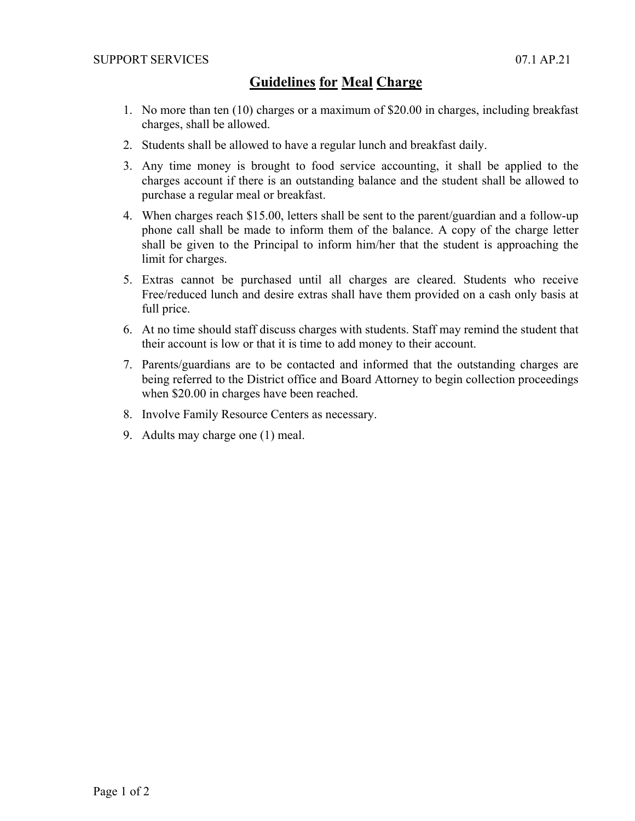## **Guidelines for Meal Charge**

- 1. No more than ten (10) charges or a maximum of \$20.00 in charges, including breakfast charges, shall be allowed.
- 2. Students shall be allowed to have a regular lunch and breakfast daily.
- 3. Any time money is brought to food service accounting, it shall be applied to the charges account if there is an outstanding balance and the student shall be allowed to purchase a regular meal or breakfast.
- 4. When charges reach \$15.00, letters shall be sent to the parent/guardian and a follow-up phone call shall be made to inform them of the balance. A copy of the charge letter shall be given to the Principal to inform him/her that the student is approaching the limit for charges.
- 5. Extras cannot be purchased until all charges are cleared. Students who receive Free/reduced lunch and desire extras shall have them provided on a cash only basis at full price.
- 6. At no time should staff discuss charges with students. Staff may remind the student that their account is low or that it is time to add money to their account.
- 7. Parents/guardians are to be contacted and informed that the outstanding charges are being referred to the District office and Board Attorney to begin collection proceedings when \$20.00 in charges have been reached.
- 8. Involve Family Resource Centers as necessary.
- 9. Adults may charge one (1) meal.